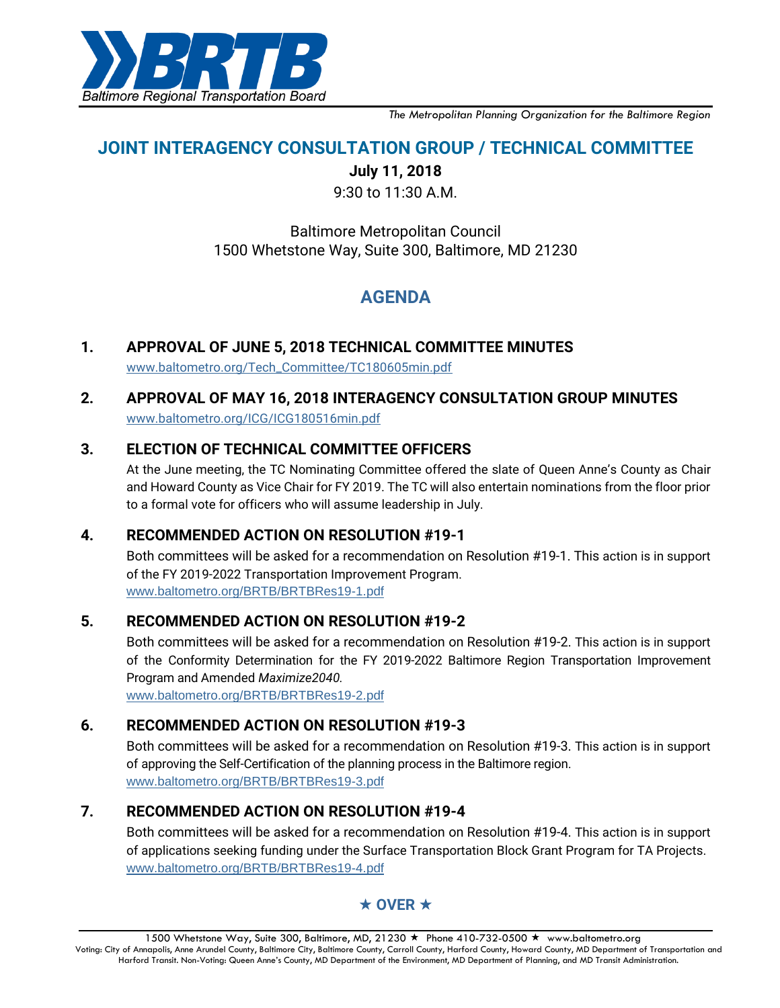

*The Metropolitan Planning Organization for the Baltimore Region*

# **JOINT INTERAGENCY CONSULTATION GROUP / TECHNICAL COMMITTEE**

**July 11, 2018**

9:30 to 11:30 A.M.

# Baltimore Metropolitan Council 1500 Whetstone Way, Suite 300, Baltimore, MD 21230

# **AGENDA**

# **1. APPROVAL OF JUNE 5, 2018 TECHNICAL COMMITTEE MINUTES**

[www.baltometro.org/Tech\\_Committee/TC180605min.pdf](http://www.baltometro.org/Tech_Committee/TC180605min.pdf)

#### **2. APPROVAL OF MAY 16, 2018 INTERAGENCY CONSULTATION GROUP MINUTES** [www.baltometro.org/ICG/ICG180516min.pdf](http://www.baltometro.org/ICG/ICG180516min.pdf)

## **3. ELECTION OF TECHNICAL COMMITTEE OFFICERS**

At the June meeting, the TC Nominating Committee offered the slate of Queen Anne's County as Chair and Howard County as Vice Chair for FY 2019. The TC will also entertain nominations from the floor prior to a formal vote for officers who will assume leadership in July.

# **4. RECOMMENDED ACTION ON RESOLUTION #19-1**

Both committees will be asked for a recommendation on Resolution #19-1. This action is in support of the FY 2019-2022 Transportation Improvement Program. [www.baltometro.org/BRTB/BRTBRes19-1.pdf](http://www.baltometro.org/BRTB/BRTBRes19-1.pdf)

### **5. RECOMMENDED ACTION ON RESOLUTION #19-2**

Both committees will be asked for a recommendation on Resolution #19-2. This action is in support of the Conformity Determination for the FY 2019-2022 Baltimore Region Transportation Improvement Program and Amended *Maximize2040.*

[www.baltometro.org/BRTB/BRTBRes19-2.pdf](http://www.baltometro.org/BRTB/BRTBRes19-2.pdf)

### **6. RECOMMENDED ACTION ON RESOLUTION #19-3**

Both committees will be asked for a recommendation on Resolution #19-3. This action is in support of approving the Self-Certification of the planning process in the Baltimore region. [www.baltometro.org/BRTB/BRTBRes19-3.pdf](http://www.baltometro.org/BRTB/BRTBRes19-3.pdf)

# **7. RECOMMENDED ACTION ON RESOLUTION #19-4**

Both committees will be asked for a recommendation on Resolution #19-4. This action is in support of applications seeking funding under the Surface Transportation Block Grant Program for TA Projects. [www.baltometro.org/BRTB/BRTBRes19-4.pdf](http://www.baltometro.org/BRTB/BRTBRes19-5.pdf)

# $\star$  OVER  $\star$